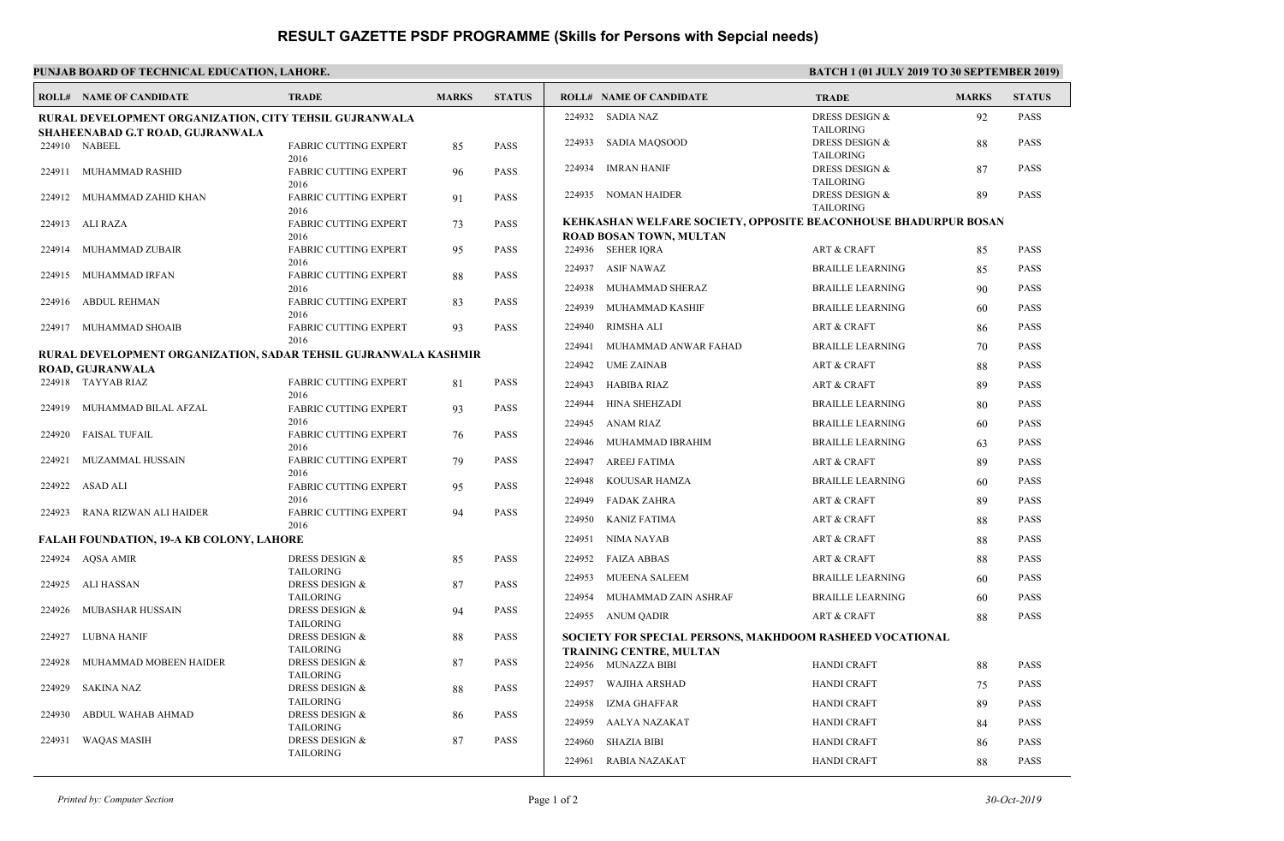## **RESULT GAZETTE PSDF PROGRAMME (Skills for Persons with Sepcial needs)**

| PUNJAB BOARD OF TECHNICAL EDUCATION, LAHORE.                                               |                                  |                                               |                   |               |                                                          |                                                                                            | <b>BATCH 1 (01 JULY 2019 TO 30 SEPTEMBER 2019)</b> |              |               |  |
|--------------------------------------------------------------------------------------------|----------------------------------|-----------------------------------------------|-------------------|---------------|----------------------------------------------------------|--------------------------------------------------------------------------------------------|----------------------------------------------------|--------------|---------------|--|
|                                                                                            | <b>ROLL# NAME OF CANDIDATE</b>   | <b>TRADE</b>                                  | <b>MARKS</b>      | <b>STATUS</b> |                                                          | <b>ROLL# NAME OF CANDIDATE</b>                                                             | <b>TRADE</b>                                       | <b>MARKS</b> | <b>STATUS</b> |  |
| RURAL DEVELOPMENT ORGANIZATION, CITY TEHSIL GUJRANWALA                                     |                                  |                                               |                   |               |                                                          | 224932 SADIA NAZ                                                                           | <b>DRESS DESIGN &amp;</b>                          | 92           | PASS          |  |
|                                                                                            | SHAHEENABAD G.T ROAD, GUJRANWALA |                                               |                   |               |                                                          | 224933 SADIA MAQSOOD                                                                       | <b>TAILORING</b><br><b>DRESS DESIGN &amp;</b>      | 88           | PASS          |  |
|                                                                                            | 224910 NABEEL                    | <b>FABRIC CUTTING EXPERT</b><br>2016          | 85                | <b>PASS</b>   |                                                          |                                                                                            | <b>TAILORING</b>                                   |              |               |  |
| 224911                                                                                     | MUHAMMAD RASHID                  | <b>FABRIC CUTTING EXPERT</b>                  | 96                | <b>PASS</b>   | 224934 IMRAN HANIF                                       |                                                                                            | <b>DRESS DESIGN &amp;</b>                          | 87           | PASS          |  |
|                                                                                            |                                  | 2016                                          |                   |               |                                                          |                                                                                            | <b>TAILORING</b>                                   |              |               |  |
| 224912                                                                                     | MUHAMMAD ZAHID KHAN              | <b>FABRIC CUTTING EXPERT</b>                  | 91                | <b>PASS</b>   |                                                          | 224935 NOMAN HAIDER                                                                        | DRESS DESIGN &                                     | 89           | <b>PASS</b>   |  |
|                                                                                            |                                  | 2016                                          |                   |               |                                                          | <b>TAILORING</b><br><b>KEHKASHAN WELFARE SOCIETY, OPPOSITE BEACONHOUSE BHADURPUR BOSAN</b> |                                                    |              |               |  |
|                                                                                            | 224913 ALI RAZA                  | <b>FABRIC CUTTING EXPERT</b><br>2016          | 73                | <b>PASS</b>   |                                                          | ROAD BOSAN TOWN, MULTAN                                                                    |                                                    |              |               |  |
| 224914                                                                                     | MUHAMMAD ZUBAIR                  | <b>FABRIC CUTTING EXPERT</b>                  | 95                | <b>PASS</b>   | 224936 SEHER IQRA                                        |                                                                                            | <b>ART &amp; CRAFT</b>                             | 85           | PASS          |  |
|                                                                                            |                                  | 2016                                          |                   |               | 224937 ASIF NAWAZ                                        |                                                                                            | <b>BRAILLE LEARNING</b>                            | 85           | PASS          |  |
| 224915                                                                                     | MUHAMMAD IRFAN                   | <b>FABRIC CUTTING EXPERT</b>                  | 88                | <b>PASS</b>   |                                                          |                                                                                            |                                                    |              |               |  |
|                                                                                            |                                  | 2016<br><b>FABRIC CUTTING EXPERT</b>          |                   |               |                                                          | 224938 MUHAMMAD SHERAZ                                                                     | <b>BRAILLE LEARNING</b>                            | 90           | PASS          |  |
|                                                                                            | 224916 ABDUL REHMAN              | 2016                                          | 83                | <b>PASS</b>   | 224939                                                   | MUHAMMAD KASHIF                                                                            | <b>BRAILLE LEARNING</b>                            | 60           | PASS          |  |
|                                                                                            | 224917 MUHAMMAD SHOAIB           | <b>FABRIC CUTTING EXPERT</b>                  | 93                | <b>PASS</b>   | 224940                                                   | <b>RIMSHA ALI</b>                                                                          | <b>ART &amp; CRAFT</b>                             | 86           | PASS          |  |
|                                                                                            |                                  | 2016                                          |                   |               | 224941                                                   | MUHAMMAD ANWAR FAHAD                                                                       | <b>BRAILLE LEARNING</b>                            | 70           | PASS          |  |
| RURAL DEVELOPMENT ORGANIZATION, SADAR TEHSIL GUJRANWALA KASHMIR<br><b>ROAD, GUJRANWALA</b> |                                  |                                               |                   |               | 224942 UME ZAINAB                                        |                                                                                            | <b>ART &amp; CRAFT</b>                             | 88           | <b>PASS</b>   |  |
|                                                                                            | 224918 TAYYAB RIAZ               | FABRIC CUTTING EXPERT                         | 81                | <b>PASS</b>   | 224943                                                   | HABIBA RIAZ                                                                                | <b>ART &amp; CRAFT</b>                             | 89           | <b>PASS</b>   |  |
|                                                                                            | 224919 MUHAMMAD BILAL AFZAL      | 2016                                          | 93                | <b>PASS</b>   |                                                          |                                                                                            |                                                    |              |               |  |
|                                                                                            |                                  | <b>FABRIC CUTTING EXPERT</b>                  |                   |               | 224944                                                   | HINA SHEHZADI                                                                              | <b>BRAILLE LEARNING</b>                            | 80           | PASS          |  |
|                                                                                            | 224920 FAISAL TUFAIL             | 2016<br><b>FABRIC CUTTING EXPERT</b>          | 76                | <b>PASS</b>   | 224945 ANAM RIAZ                                         |                                                                                            | <b>BRAILLE LEARNING</b>                            | 60           | <b>PASS</b>   |  |
|                                                                                            |                                  | 2016                                          |                   |               | 224946                                                   | MUHAMMAD IBRAHIM                                                                           | <b>BRAILLE LEARNING</b>                            | 63           | PASS          |  |
| 224921                                                                                     | MUZAMMAL HUSSAIN                 | <b>FABRIC CUTTING EXPERT</b>                  | 79                | <b>PASS</b>   | 224947                                                   | <b>AREEJ FATIMA</b>                                                                        | <b>ART &amp; CRAFT</b>                             | 89           | <b>PASS</b>   |  |
|                                                                                            | 224922 ASAD ALI                  | 2016<br><b>FABRIC CUTTING EXPERT</b>          | 95                | <b>PASS</b>   | 224948                                                   | KOUUSAR HAMZA                                                                              | <b>BRAILLE LEARNING</b>                            | 60           | <b>PASS</b>   |  |
|                                                                                            |                                  | 2016                                          |                   |               | 224949 FADAK ZAHRA                                       |                                                                                            | <b>ART &amp; CRAFT</b>                             | 89           | <b>PASS</b>   |  |
|                                                                                            | 224923 RANA RIZWAN ALI HAIDER    | <b>FABRIC CUTTING EXPERT</b><br>2016          | 94                | <b>PASS</b>   | 224950 KANIZ FATIMA                                      |                                                                                            | <b>ART &amp; CRAFT</b>                             | 88           | PASS          |  |
| <b>FALAH FOUNDATION, 19-A KB COLONY, LAHORE</b>                                            |                                  |                                               |                   |               | 224951                                                   | <b>NIMA NAYAB</b>                                                                          | <b>ART &amp; CRAFT</b>                             | 88           | PASS          |  |
|                                                                                            | 224924 AQSA AMIR                 | DRESS DESIGN &                                | 85                | <b>PASS</b>   | 224952 FAIZA ABBAS                                       |                                                                                            | <b>ART &amp; CRAFT</b>                             | 88           | <b>PASS</b>   |  |
|                                                                                            |                                  | <b>TAILORING</b>                              |                   |               | 224953                                                   | <b>MUEENA SALEEM</b>                                                                       | <b>BRAILLE LEARNING</b>                            |              | <b>PASS</b>   |  |
| 224925                                                                                     | ALI HASSAN                       | <b>DRESS DESIGN &amp;</b>                     | 87                | <b>PASS</b>   |                                                          |                                                                                            |                                                    | 60           |               |  |
| 224926                                                                                     | MUBASHAR HUSSAIN                 | <b>TAILORING</b><br><b>DRESS DESIGN &amp;</b> | 94                | <b>PASS</b>   |                                                          | 224954 MUHAMMAD ZAIN ASHRAF                                                                | <b>BRAILLE LEARNING</b>                            | 60           | <b>PASS</b>   |  |
|                                                                                            |                                  | <b>TAILORING</b>                              |                   |               | 224955 ANUM QADIR                                        |                                                                                            | <b>ART &amp; CRAFT</b>                             | 88           | PASS          |  |
| 224927                                                                                     | LUBNA HANIF                      | DRESS DESIGN &                                | <b>PASS</b><br>88 |               | SOCIETY FOR SPECIAL PERSONS, MAKHDOOM RASHEED VOCATIONAL |                                                                                            |                                                    |              |               |  |
| 224928                                                                                     | MUHAMMAD MOBEEN HAIDER           | <b>TAILORING</b><br><b>DRESS DESIGN &amp;</b> | 87                | <b>PASS</b>   |                                                          | <b>TRAINING CENTRE, MULTAN</b>                                                             |                                                    |              |               |  |
|                                                                                            |                                  | <b>TAILORING</b>                              |                   |               | 224956 MUNAZZA BIBI                                      |                                                                                            | <b>HANDI CRAFT</b>                                 | 88           | <b>PASS</b>   |  |
| 224929                                                                                     | <b>SAKINA NAZ</b>                | <b>DRESS DESIGN &amp;</b>                     | 88                | <b>PASS</b>   | 224957                                                   | WAJIHA ARSHAD                                                                              | <b>HANDI CRAFT</b>                                 | 75           | PASS          |  |
|                                                                                            | ABDUL WAHAB AHMAD                | <b>TAILORING</b>                              |                   | <b>PASS</b>   | 224958                                                   | IZMA GHAFFAR                                                                               | <b>HANDI CRAFT</b>                                 | 89           | PASS          |  |
| 224930                                                                                     |                                  | DRESS DESIGN &<br><b>TAILORING</b>            | 86                |               | 224959                                                   | AALYA NAZAKAT                                                                              | <b>HANDI CRAFT</b>                                 | 84           | PASS          |  |
| 224931                                                                                     | <b>WAQAS MASIH</b>               | DRESS DESIGN &                                | 87                | <b>PASS</b>   | 224960                                                   | <b>SHAZIA BIBI</b>                                                                         | <b>HANDI CRAFT</b>                                 | 86           | PASS          |  |
|                                                                                            |                                  | <b>TAILORING</b>                              |                   |               | 224961                                                   | RABIA NAZAKAT                                                                              | <b>HANDI CRAFT</b>                                 | 88           | PASS          |  |